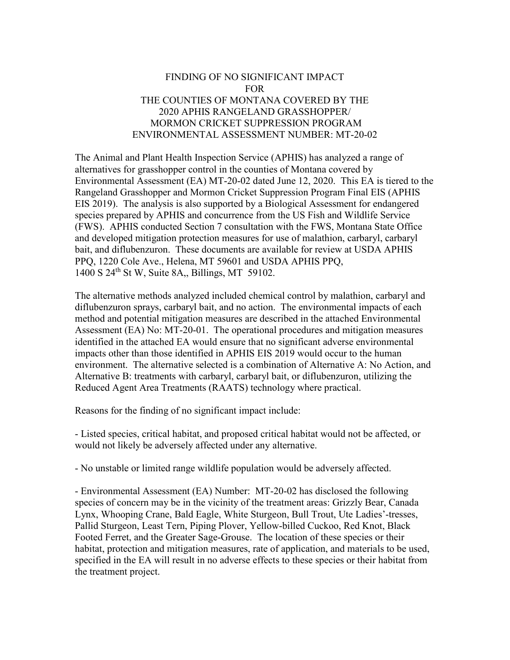## FINDING OF NO SIGNIFICANT IMPACT FOR THE COUNTIES OF MONTANA COVERED BY THE 2020 APHIS RANGELAND GRASSHOPPER/ MORMON CRICKET SUPPRESSION PROGRAM ENVIRONMENTAL ASSESSMENT NUMBER: MT-20-02

The Animal and Plant Health Inspection Service (APHIS) has analyzed a range of alternatives for grasshopper control in the counties of Montana covered by Environmental Assessment (EA) MT-20-02 dated June 12, 2020. This EA is tiered to the Rangeland Grasshopper and Mormon Cricket Suppression Program Final EIS (APHIS EIS 2019). The analysis is also supported by a Biological Assessment for endangered species prepared by APHIS and concurrence from the US Fish and Wildlife Service (FWS). APHIS conducted Section 7 consultation with the FWS, Montana State Office and developed mitigation protection measures for use of malathion, carbaryl, carbaryl bait, and diflubenzuron. These documents are available for review at USDA APHIS PPQ, 1220 Cole Ave., Helena, MT 59601 and USDA APHIS PPQ, 1400 S 24th St W, Suite 8A,, Billings, MT 59102.

The alternative methods analyzed included chemical control by malathion, carbaryl and diflubenzuron sprays, carbaryl bait, and no action. The environmental impacts of each method and potential mitigation measures are described in the attached Environmental Assessment (EA) No: MT-20-01. The operational procedures and mitigation measures identified in the attached EA would ensure that no significant adverse environmental impacts other than those identified in APHIS EIS 2019 would occur to the human environment. The alternative selected is a combination of Alternative A: No Action, and Alternative B: treatments with carbaryl, carbaryl bait, or diflubenzuron, utilizing the Reduced Agent Area Treatments (RAATS) technology where practical.

Reasons for the finding of no significant impact include:

- Listed species, critical habitat, and proposed critical habitat would not be affected, or would not likely be adversely affected under any alternative.

- No unstable or limited range wildlife population would be adversely affected.

- Environmental Assessment (EA) Number: MT-20-02 has disclosed the following species of concern may be in the vicinity of the treatment areas: Grizzly Bear, Canada Lynx, Whooping Crane, Bald Eagle, White Sturgeon, Bull Trout, Ute Ladies'-tresses, Pallid Sturgeon, Least Tern, Piping Plover, Yellow-billed Cuckoo, Red Knot, Black Footed Ferret, and the Greater Sage-Grouse. The location of these species or their habitat, protection and mitigation measures, rate of application, and materials to be used, specified in the EA will result in no adverse effects to these species or their habitat from the treatment project.